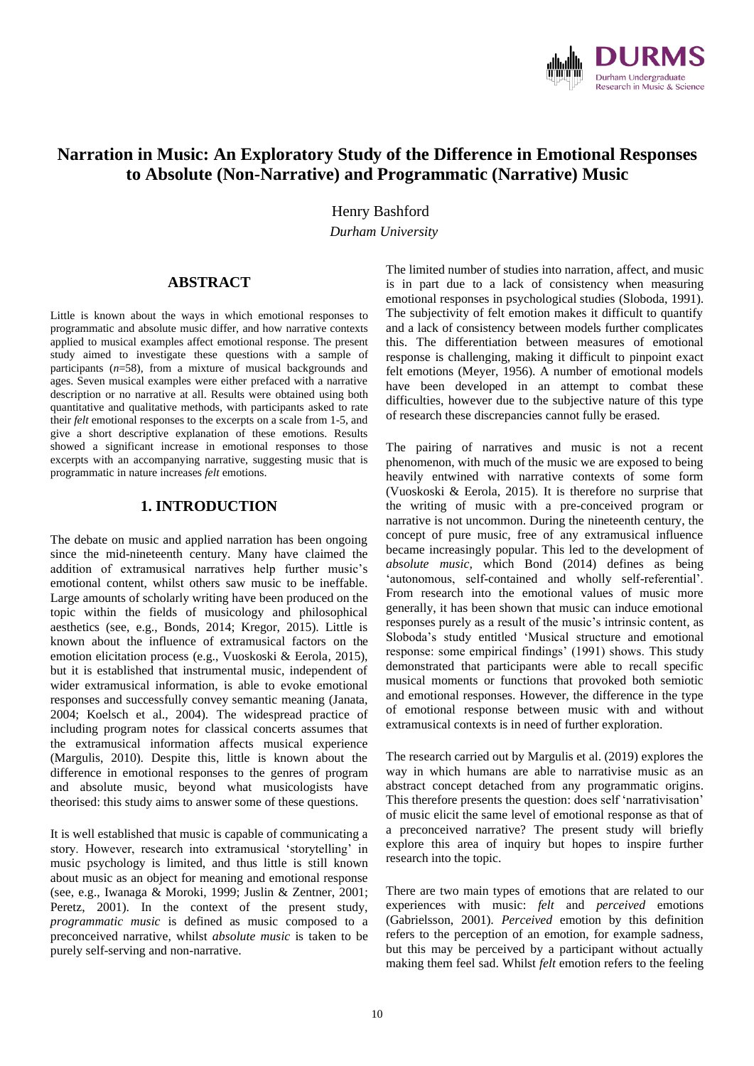

# **Narration in Music: An Exploratory Study of the Difference in Emotional Responses to Absolute (Non-Narrative) and Programmatic (Narrative) Music**

**Henry Bashford** 

*Durham University*

#### **ABSTRACT**

Little is known about the ways in which emotional responses to programmatic and absolute music differ, and how narrative contexts applied to musical examples affect emotional response. The present study aimed to investigate these questions with a sample of participants (*n*=58), from a mixture of musical backgrounds and ages. Seven musical examples were either prefaced with a narrative description or no narrative at all. Results were obtained using both quantitative and qualitative methods, with participants asked to rate their *felt* emotional responses to the excerpts on a scale from 1-5, and give a short descriptive explanation of these emotions. Results showed a significant increase in emotional responses to those excerpts with an accompanying narrative, suggesting music that is programmatic in nature increases *felt* emotions.

## **1. INTRODUCTION**

The debate on music and applied narration has been ongoing since the mid-nineteenth century. Many have claimed the addition of extramusical narratives help further music's emotional content, whilst others saw music to be ineffable. Large amounts of scholarly writing have been produced on the topic within the fields of musicology and philosophical aesthetics (see, e.g., Bonds, 2014; Kregor, 2015). Little is known about the influence of extramusical factors on the emotion elicitation process (e.g., Vuoskoski & Eerola, 2015), but it is established that instrumental music, independent of wider extramusical information, is able to evoke emotional responses and successfully convey semantic meaning (Janata, 2004; Koelsch et al., 2004). The widespread practice of including program notes for classical concerts assumes that the extramusical information affects musical experience (Margulis, 2010). Despite this, little is known about the difference in emotional responses to the genres of program and absolute music, beyond what musicologists have theorised: this study aims to answer some of these questions.

It is well established that music is capable of communicating a story. However, research into extramusical 'storytelling' in music psychology is limited, and thus little is still known about music as an object for meaning and emotional response (see, e.g., Iwanaga & Moroki, 1999; Juslin & Zentner, 2001; Peretz, 2001). In the context of the present study, *programmatic music* is defined as music composed to a preconceived narrative, whilst *absolute music* is taken to be purely self-serving and non-narrative.

The limited number of studies into narration, affect, and music is in part due to a lack of consistency when measuring emotional responses in psychological studies (Sloboda, 1991). The subjectivity of felt emotion makes it difficult to quantify and a lack of consistency between models further complicates this. The differentiation between measures of emotional response is challenging, making it difficult to pinpoint exact felt emotions (Meyer, 1956). A number of emotional models have been developed in an attempt to combat these difficulties, however due to the subjective nature of this type of research these discrepancies cannot fully be erased.

The pairing of narratives and music is not a recent phenomenon, with much of the music we are exposed to being heavily entwined with narrative contexts of some form (Vuoskoski & Eerola, 2015). It is therefore no surprise that the writing of music with a pre-conceived program or narrative is not uncommon. During the nineteenth century, the concept of pure music, free of any extramusical influence became increasingly popular. This led to the development of *absolute music,* which Bond (2014) defines as being 'autonomous, self-contained and wholly self-referential'. From research into the emotional values of music more generally, it has been shown that music can induce emotional responses purely as a result of the music's intrinsic content, as Sloboda's study entitled 'Musical structure and emotional response: some empirical findings' (1991) shows. This study demonstrated that participants were able to recall specific musical moments or functions that provoked both semiotic and emotional responses. However, the difference in the type of emotional response between music with and without extramusical contexts is in need of further exploration.

The research carried out by Margulis et al. (2019) explores the way in which humans are able to narrativise music as an abstract concept detached from any programmatic origins. This therefore presents the question: does self 'narrativisation' of music elicit the same level of emotional response as that of a preconceived narrative? The present study will briefly explore this area of inquiry but hopes to inspire further research into the topic.

There are two main types of emotions that are related to our experiences with music: *felt* and *perceived* emotions (Gabrielsson, 2001). *Perceived* emotion by this definition refers to the perception of an emotion, for example sadness, but this may be perceived by a participant without actually making them feel sad. Whilst *felt* emotion refers to the feeling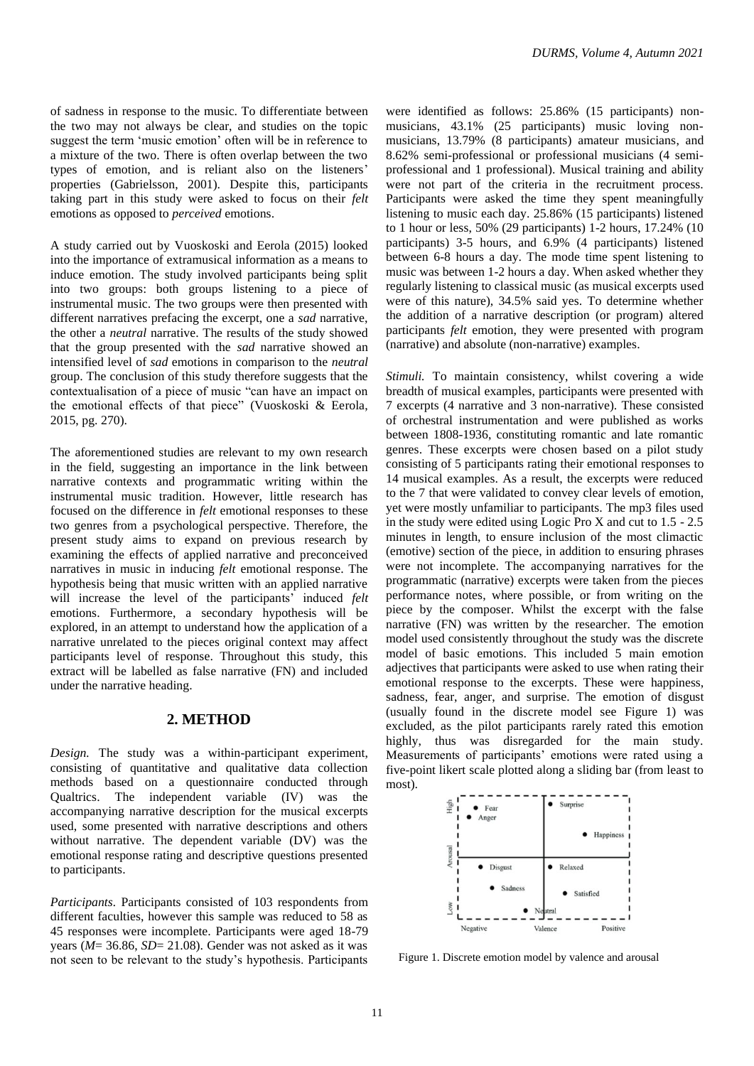of sadness in response to the music. To differentiate between the two may not always be clear, and studies on the topic suggest the term 'music emotion' often will be in reference to a mixture of the two. There is often overlap between the two types of emotion, and is reliant also on the listeners' properties (Gabrielsson, 2001). Despite this, participants taking part in this study were asked to focus on their *felt*  emotions as opposed to *perceived* emotions.

A study carried out by Vuoskoski and Eerola (2015) looked into the importance of extramusical information as a means to induce emotion. The study involved participants being split into two groups: both groups listening to a piece of instrumental music. The two groups were then presented with different narratives prefacing the excerpt, one a *sad* narrative, the other a *neutral* narrative. The results of the study showed that the group presented with the *sad* narrative showed an intensified level of *sad* emotions in comparison to the *neutral*  group. The conclusion of this study therefore suggests that the contextualisation of a piece of music "can have an impact on the emotional effects of that piece" (Vuoskoski & Eerola, 2015, pg. 270).

The aforementioned studies are relevant to my own research in the field, suggesting an importance in the link between narrative contexts and programmatic writing within the instrumental music tradition. However, little research has focused on the difference in *felt* emotional responses to these two genres from a psychological perspective. Therefore, the present study aims to expand on previous research by examining the effects of applied narrative and preconceived narratives in music in inducing *felt* emotional response. The hypothesis being that music written with an applied narrative will increase the level of the participants' induced *felt*  emotions. Furthermore, a secondary hypothesis will be explored, in an attempt to understand how the application of a narrative unrelated to the pieces original context may affect participants level of response. Throughout this study, this extract will be labelled as false narrative (FN) and included under the narrative heading.

#### **2. METHOD**

*Design.* The study was a within-participant experiment, consisting of quantitative and qualitative data collection methods based on a questionnaire conducted through Qualtrics. The independent variable (IV) was the accompanying narrative description for the musical excerpts used, some presented with narrative descriptions and others without narrative. The dependent variable (DV) was the emotional response rating and descriptive questions presented to participants.

*Participants.* Participants consisted of 103 respondents from different faculties, however this sample was reduced to 58 as 45 responses were incomplete. Participants were aged 18-79 years (*M*= 36.86, *SD*= 21.08). Gender was not asked as it was not seen to be relevant to the study's hypothesis. Participants

were identified as follows: 25.86% (15 participants) nonmusicians, 43.1% (25 participants) music loving nonmusicians, 13.79% (8 participants) amateur musicians, and 8.62% semi-professional or professional musicians (4 semiprofessional and 1 professional). Musical training and ability were not part of the criteria in the recruitment process. Participants were asked the time they spent meaningfully listening to music each day. 25.86% (15 participants) listened to 1 hour or less, 50% (29 participants) 1-2 hours, 17.24% (10 participants) 3-5 hours, and 6.9% (4 participants) listened between 6-8 hours a day. The mode time spent listening to music was between 1-2 hours a day. When asked whether they regularly listening to classical music (as musical excerpts used were of this nature), 34.5% said yes. To determine whether the addition of a narrative description (or program) altered participants *felt* emotion, they were presented with program (narrative) and absolute (non-narrative) examples.

*Stimuli.* To maintain consistency, whilst covering a wide breadth of musical examples, participants were presented with 7 excerpts (4 narrative and 3 non-narrative). These consisted of orchestral instrumentation and were published as works between 1808-1936, constituting romantic and late romantic genres. These excerpts were chosen based on a pilot study consisting of 5 participants rating their emotional responses to 14 musical examples. As a result, the excerpts were reduced to the 7 that were validated to convey clear levels of emotion, yet were mostly unfamiliar to participants. The mp3 files used in the study were edited using Logic Pro X and cut to 1.5 - 2.5 minutes in length, to ensure inclusion of the most climactic (emotive) section of the piece, in addition to ensuring phrases were not incomplete. The accompanying narratives for the programmatic (narrative) excerpts were taken from the pieces performance notes, where possible, or from writing on the piece by the composer. Whilst the excerpt with the false narrative (FN) was written by the researcher. The emotion model used consistently throughout the study was the discrete model of basic emotions. This included 5 main emotion adjectives that participants were asked to use when rating their emotional response to the excerpts. These were happiness, sadness, fear, anger, and surprise. The emotion of disgust (usually found in the discrete model see Figure 1) was excluded, as the pilot participants rarely rated this emotion highly, thus was disregarded for the main study. Measurements of participants' emotions were rated using a five-point likert scale plotted along a sliding bar (from least to most).



Figure 1. Discrete emotion model by valence and arousal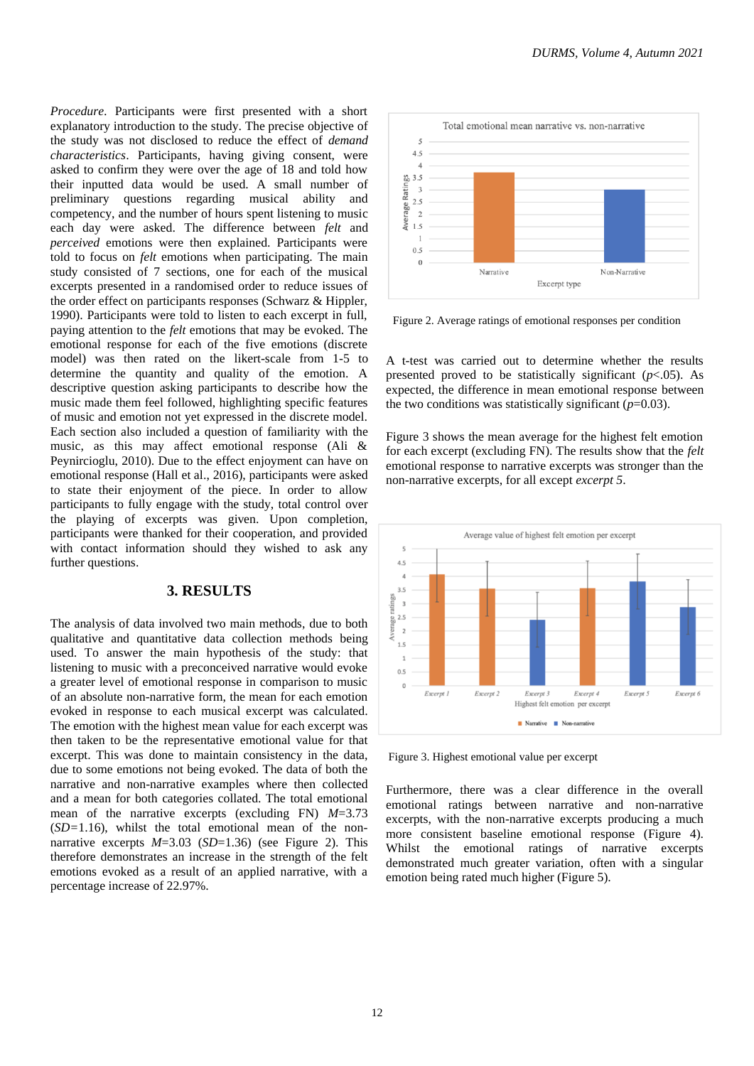*Procedure.* Participants were first presented with a short explanatory introduction to the study. The precise objective of the study was not disclosed to reduce the effect of *demand characteristics*. Participants, having giving consent, were asked to confirm they were over the age of 18 and told how their inputted data would be used. A small number of preliminary questions regarding musical ability and competency, and the number of hours spent listening to music each day were asked. The difference between *felt* and *perceived* emotions were then explained. Participants were told to focus on *felt* emotions when participating. The main study consisted of 7 sections, one for each of the musical excerpts presented in a randomised order to reduce issues of the order effect on participants responses (Schwarz & Hippler, 1990). Participants were told to listen to each excerpt in full, paying attention to the *felt* emotions that may be evoked. The emotional response for each of the five emotions (discrete model) was then rated on the likert-scale from 1-5 to determine the quantity and quality of the emotion. A descriptive question asking participants to describe how the music made them feel followed, highlighting specific features of music and emotion not yet expressed in the discrete model. Each section also included a question of familiarity with the music, as this may affect emotional response (Ali & Peynircioglu, 2010). Due to the effect enjoyment can have on emotional response (Hall et al., 2016), participants were asked to state their enjoyment of the piece. In order to allow participants to fully engage with the study, total control over the playing of excerpts was given. Upon completion, participants were thanked for their cooperation, and provided with contact information should they wished to ask any further questions.

### **3. RESULTS**

The analysis of data involved two main methods, due to both qualitative and quantitative data collection methods being used. To answer the main hypothesis of the study: that listening to music with a preconceived narrative would evoke a greater level of emotional response in comparison to music of an absolute non-narrative form, the mean for each emotion evoked in response to each musical excerpt was calculated. The emotion with the highest mean value for each excerpt was then taken to be the representative emotional value for that excerpt. This was done to maintain consistency in the data, due to some emotions not being evoked. The data of both the narrative and non-narrative examples where then collected and a mean for both categories collated. The total emotional mean of the narrative excerpts (excluding FN) *M*=3.73 (*SD=*1.16), whilst the total emotional mean of the nonnarrative excerpts *M*=3.03 (*SD*=1.36) (see Figure 2). This therefore demonstrates an increase in the strength of the felt emotions evoked as a result of an applied narrative, with a percentage increase of 22.97%.



Figure 2. Average ratings of emotional responses per condition

A t-test was carried out to determine whether the results presented proved to be statistically significant  $(p<.05)$ . As expected, the difference in mean emotional response between the two conditions was statistically significant  $(p=0.03)$ .

Figure 3 shows the mean average for the highest felt emotion for each excerpt (excluding FN). The results show that the *felt*  emotional response to narrative excerpts was stronger than the non-narrative excerpts, for all except *excerpt 5*.



Figure 3. Highest emotional value per excerpt

Furthermore, there was a clear difference in the overall emotional ratings between narrative and non-narrative excerpts, with the non-narrative excerpts producing a much more consistent baseline emotional response (Figure 4). Whilst the emotional ratings of narrative excerpts demonstrated much greater variation, often with a singular emotion being rated much higher (Figure 5).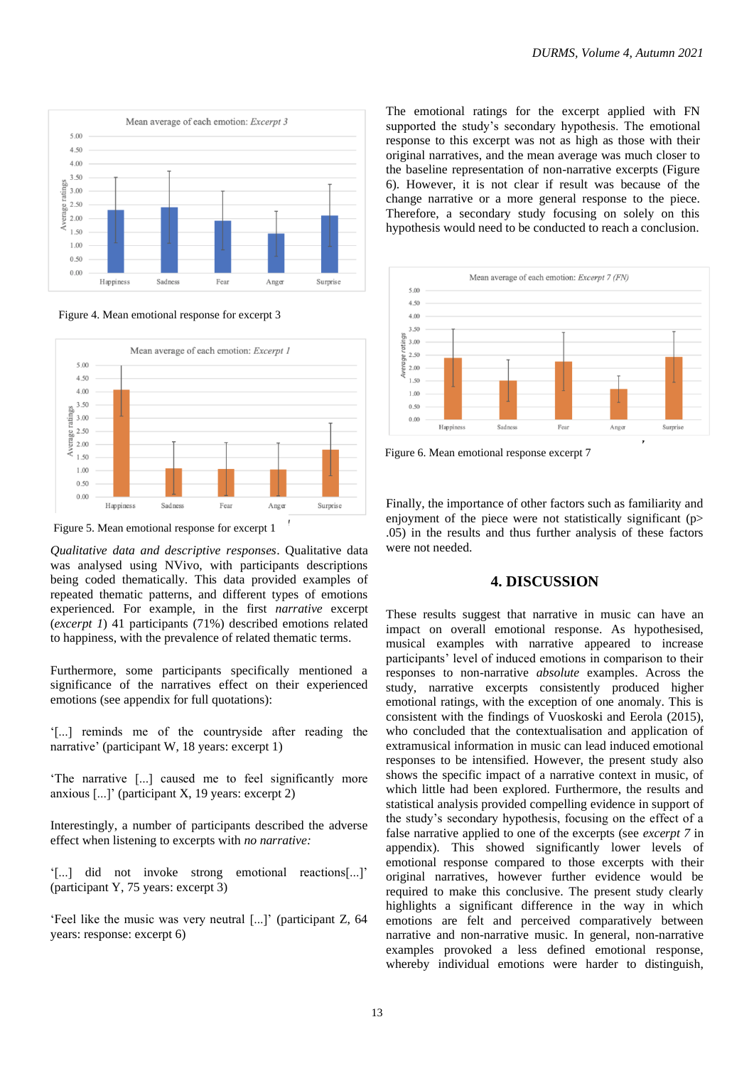

Figure 4. Mean emotional response for excerpt 3



Figure 5. Mean emotional response for excerpt 1

*Qualitative data and descriptive responses*. Qualitative data was analysed using NVivo, with participants descriptions being coded thematically. This data provided examples of repeated thematic patterns, and different types of emotions experienced. For example, in the first *narrative* excerpt (*excerpt 1*) 41 participants (71%) described emotions related to happiness, with the prevalence of related thematic terms.

Furthermore, some participants specifically mentioned a significance of the narratives effect on their experienced emotions (see appendix for full quotations):

'[...] reminds me of the countryside after reading the narrative' (participant W, 18 years: excerpt 1)

'The narrative [...] caused me to feel significantly more anxious [...]' (participant X, 19 years: excerpt 2)

Interestingly, a number of participants described the adverse effect when listening to excerpts with *no narrative:*

'[...] did not invoke strong emotional reactions[...]' (participant Y, 75 years: excerpt 3)

'Feel like the music was very neutral [...]' (participant Z, 64 years: response: excerpt 6)

The emotional ratings for the excerpt applied with FN supported the study's secondary hypothesis. The emotional response to this excerpt was not as high as those with their original narratives, and the mean average was much closer to the baseline representation of non-narrative excerpts (Figure 6). However, it is not clear if result was because of the change narrative or a more general response to the piece. Therefore, a secondary study focusing on solely on this hypothesis would need to be conducted to reach a conclusion.



Figure 6. Mean emotional response excerpt 7

Finally, the importance of other factors such as familiarity and enjoyment of the piece were not statistically significant  $(p>$ .05) in the results and thus further analysis of these factors were not needed.

#### **4. DISCUSSION**

These results suggest that narrative in music can have an impact on overall emotional response. As hypothesised, musical examples with narrative appeared to increase participants' level of induced emotions in comparison to their responses to non-narrative *absolute* examples. Across the study, narrative excerpts consistently produced higher emotional ratings, with the exception of one anomaly. This is consistent with the findings of Vuoskoski and Eerola (2015), who concluded that the contextualisation and application of extramusical information in music can lead induced emotional responses to be intensified. However, the present study also shows the specific impact of a narrative context in music, of which little had been explored. Furthermore, the results and statistical analysis provided compelling evidence in support of the study's secondary hypothesis, focusing on the effect of a false narrative applied to one of the excerpts (see *excerpt 7* in appendix). This showed significantly lower levels of emotional response compared to those excerpts with their original narratives, however further evidence would be required to make this conclusive. The present study clearly highlights a significant difference in the way in which emotions are felt and perceived comparatively between narrative and non-narrative music. In general, non-narrative examples provoked a less defined emotional response, whereby individual emotions were harder to distinguish,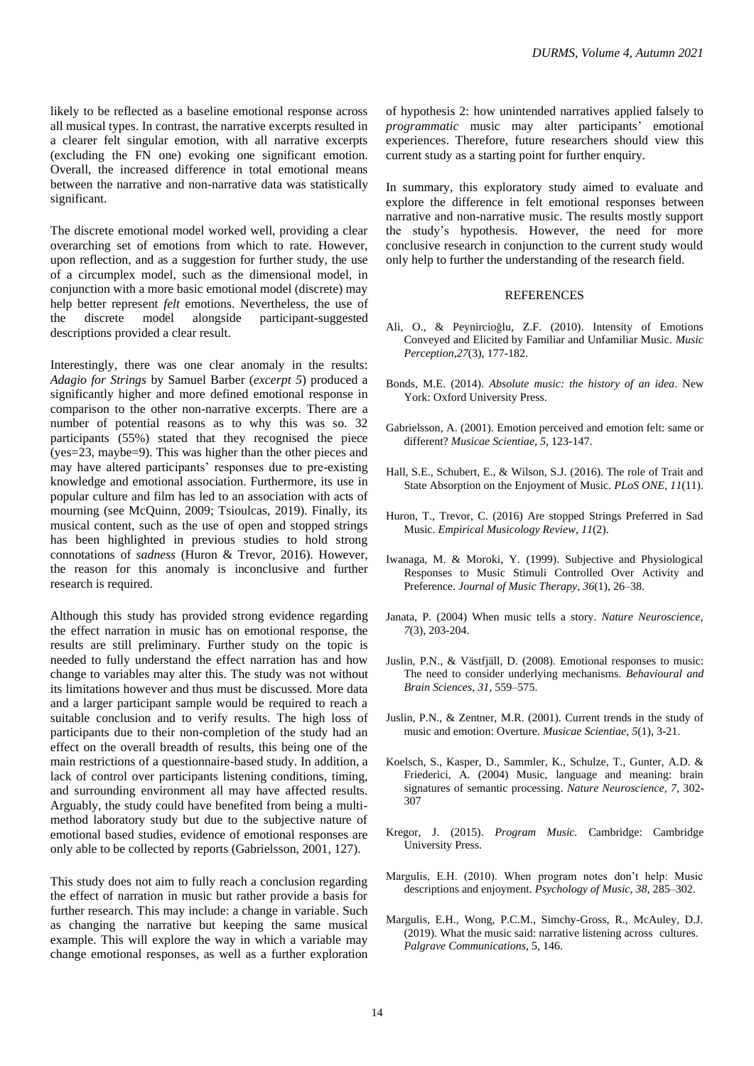likely to be reflected as a baseline emotional response across all musical types. In contrast, the narrative excerpts resulted in a clearer felt singular emotion, with all narrative excerpts (excluding the FN one) evoking one significant emotion. Overall, the increased difference in total emotional means between the narrative and non-narrative data was statistically significant.

The discrete emotional model worked well, providing a clear overarching set of emotions from which to rate. However, upon reflection, and as a suggestion for further study, the use of a circumplex model, such as the dimensional model, in conjunction with a more basic emotional model (discrete) may help better represent *felt* emotions. Nevertheless, the use of the discrete model alongside participant-suggested descriptions provided a clear result.

Interestingly, there was one clear anomaly in the results: *Adagio for Strings* by Samuel Barber (*excerpt 5*) produced a significantly higher and more defined emotional response in comparison to the other non-narrative excerpts. There are a number of potential reasons as to why this was so. 32 participants (55%) stated that they recognised the piece (yes=23, maybe=9). This was higher than the other pieces and may have altered participants' responses due to pre-existing knowledge and emotional association. Furthermore, its use in popular culture and film has led to an association with acts of mourning (see McQuinn, 2009; Tsioulcas, 2019). Finally, its musical content, such as the use of open and stopped strings has been highlighted in previous studies to hold strong connotations of *sadness* (Huron & Trevor, 2016). However, the reason for this anomaly is inconclusive and further research is required.

Although this study has provided strong evidence regarding the effect narration in music has on emotional response, the results are still preliminary. Further study on the topic is needed to fully understand the effect narration has and how change to variables may alter this. The study was not without its limitations however and thus must be discussed. More data and a larger participant sample would be required to reach a suitable conclusion and to verify results. The high loss of participants due to their non-completion of the study had an effect on the overall breadth of results, this being one of the main restrictions of a questionnaire-based study. In addition, a lack of control over participants listening conditions, timing, and surrounding environment all may have affected results. Arguably, the study could have benefited from being a multimethod laboratory study but due to the subjective nature of emotional based studies, evidence of emotional responses are only able to be collected by reports (Gabrielsson, 2001, 127).

This study does not aim to fully reach a conclusion regarding the effect of narration in music but rather provide a basis for further research. This may include: a change in variable. Such as changing the narrative but keeping the same musical example. This will explore the way in which a variable may change emotional responses, as well as a further exploration

of hypothesis 2: how unintended narratives applied falsely to *programmatic* music may alter participants' emotional experiences. Therefore, future researchers should view this current study as a starting point for further enquiry.

In summary, this exploratory study aimed to evaluate and explore the difference in felt emotional responses between narrative and non-narrative music. The results mostly support the study's hypothesis. However, the need for more conclusive research in conjunction to the current study would only help to further the understanding of the research field.

#### **REFERENCES**

- Ali, O., & Peynircioǧlu, Z.F. (2010). Intensity of Emotions Conveyed and Elicited by Familiar and Unfamiliar Music. *Music Perception,27*(3), 177-182.
- Bonds, M.E. (2014). *Absolute music: the history of an idea*. New York: Oxford University Press.
- Gabrielsson, A. (2001). Emotion perceived and emotion felt: same or different? *Musicae Scientiae, 5*, 123-147.
- Hall, S.E., Schubert, E., & Wilson, S.J. (2016). The role of Trait and State Absorption on the Enjoyment of Music. *PLoS ONE, 11*(11).
- Huron, T., Trevor, C. (2016) Are stopped Strings Preferred in Sad Music. *Empirical Musicology Review, 11*(2).
- Iwanaga, M. & Moroki, Y. (1999). Subjective and Physiological Responses to Music Stimuli Controlled Over Activity and Preference. *Journal of Music Therapy*, *36*(1), 26–38.
- Janata, P. (2004) When music tells a story. *Nature Neuroscience*, *7*(3), 203-204.
- Juslin, P.N., & Västfjäll, D. (2008). Emotional responses to music: The need to consider underlying mechanisms. *Behavioural and Brain Sciences*, *31*, 559–575.
- Juslin, P.N., & Zentner, M.R. (2001). Current trends in the study of music and emotion: Overture. *Musicae Scientiae*, *5*(1), 3-21.
- Koelsch, S., Kasper, D., Sammler, K., Schulze, T., Gunter, A.D. & Friederici, A. (2004) Music, language and meaning: brain signatures of semantic processing. *Nature Neuroscience, 7*, 302- 307
- Kregor, J. (2015). *Program Music.* Cambridge: Cambridge University Press.
- Margulis, E.H. (2010). When program notes don't help: Music descriptions and enjoyment. *Psychology of Music*, *38*, 285–302.
- Margulis, E.H., Wong, P.C.M., Simchy-Gross, R., McAuley, D.J. (2019). What the music said: narrative listening across cultures. *Palgrave Communications,* 5, 146.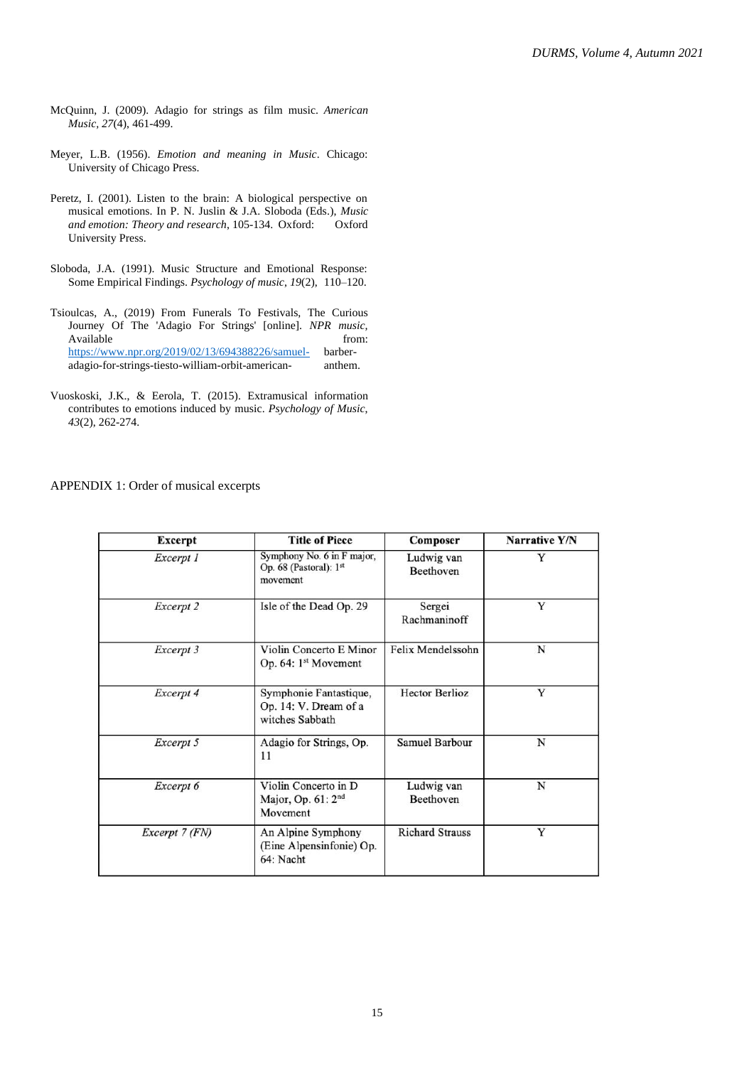- McQuinn, J. (2009). Adagio for strings as film music. *American Music, 27*(4), 461-499.
- Meyer, L.B. (1956). *Emotion and meaning in Music*. Chicago: University of Chicago Press.
- Peretz, I. (2001). Listen to the brain: A biological perspective on musical emotions. In P. N. Juslin & J.A. Sloboda (Eds.), *Music and emotion: Theory and research*, 105-134. Oxford: Oxford University Press.
- Sloboda, J.A. (1991). Music Structure and Emotional Response: Some Empirical Findings. *Psychology of music*, *19*(2), 110–120.
- Tsioulcas, A., (2019) From Funerals To Festivals, The Curious Journey Of The 'Adagio For Strings' [online]. *NPR music,*  Available from:  $\blacksquare$ <https://www.npr.org/2019/02/13/694388226/samuel-> barberadagio-for-strings-tiesto-william-orbit-american- anthem.
- Vuoskoski, J.K., & Eerola, T. (2015). Extramusical information contributes to emotions induced by music. *Psychology of Music*, *43*(2), 262-274.

APPENDIX 1: Order of musical excerpts

| <b>Excerpt</b> | <b>Title of Piece</b>                                              | Composer                | Narrative Y/N |
|----------------|--------------------------------------------------------------------|-------------------------|---------------|
| Excerpt 1      | Symphony No. 6 in F major,<br>Op. 68 (Pastoral): $1st$<br>movement | Ludwig van<br>Beethoven | Y             |
| Excerpt 2      | Isle of the Dead Op. 29                                            | Sergei<br>Rachmaninoff  | Y             |
| Excerpt 3      | Violin Concerto E Minor<br>Op. $64:1^{st}$ Movement                | Felix Mendelssohn       | N             |
| Excerpt 4      | Symphonie Fantastique,<br>Op. 14: V. Dream of a<br>witches Sabbath | <b>Hector Berlioz</b>   | Y             |
| Excerpt 5      | Adagio for Strings, Op.<br>11                                      | Samuel Barbour          | N             |
| Excerpt 6      | Violin Concerto in D<br>Major, Op. 61: 2 <sup>nd</sup><br>Movement | Ludwig van<br>Beethoven | N             |
| Excerpt 7 (FN) | An Alpine Symphony<br>(Eine Alpensinfonie) Op.<br>64: Nacht        | <b>Richard Strauss</b>  | Y             |